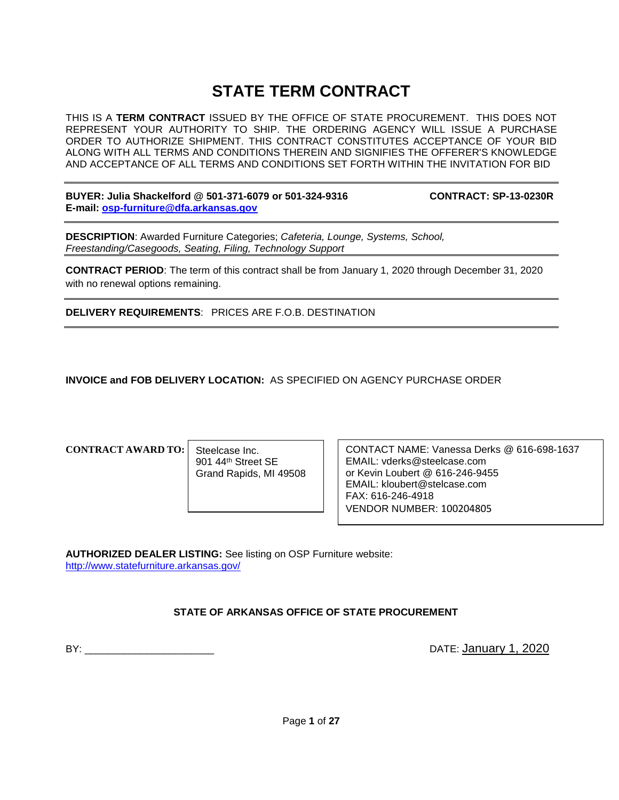# **STATE TERM CONTRACT**

THIS IS A **TERM CONTRACT** ISSUED BY THE OFFICE OF STATE PROCUREMENT. THIS DOES NOT REPRESENT YOUR AUTHORITY TO SHIP. THE ORDERING AGENCY WILL ISSUE A PURCHASE ORDER TO AUTHORIZE SHIPMENT. THIS CONTRACT CONSTITUTES ACCEPTANCE OF YOUR BID ALONG WITH ALL TERMS AND CONDITIONS THEREIN AND SIGNIFIES THE OFFERER'S KNOWLEDGE AND ACCEPTANCE OF ALL TERMS AND CONDITIONS SET FORTH WITHIN THE INVITATION FOR BID

**BUYER: Julia Shackelford @ 501-371-6079 or 501-324-9316 CONTRACT: SP-13-0230R E-mail: [osp-furniture@dfa.arkansas.gov](mailto:osp-furniture@dfa.arkansas.gov)**

**DESCRIPTION**: Awarded Furniture Categories; *Cafeteria, Lounge, Systems, School, Freestanding/Casegoods, Seating, Filing, Technology Support*

**CONTRACT PERIOD**: The term of this contract shall be from January 1, 2020 through December 31, 2020 with no renewal options remaining.

**DELIVERY REQUIREMENTS**: PRICES ARE F.O.B. DESTINATION

**INVOICE and FOB DELIVERY LOCATION:** AS SPECIFIED ON AGENCY PURCHASE ORDER

### **CONTRACT AWARD TO:**

Steelcase Inc. 901 44th Street SE Grand Rapids, MI 49508 CONTACT NAME: Vanessa Derks @ 616-698-1637 EMAIL: vderks@steelcase.com or Kevin Loubert @ 616-246-9455 EMAIL: kloubert@stelcase.com FAX: 616-246-4918 VENDOR NUMBER: 100204805

**AUTHORIZED DEALER LISTING:** See listing on OSP Furniture website: <http://www.statefurniture.arkansas.gov/>

## **STATE OF ARKANSAS OFFICE OF STATE PROCUREMENT**

BY: \_\_\_\_\_\_\_\_\_\_\_\_\_\_\_\_\_\_\_\_\_\_\_ DATE: January 1, 2020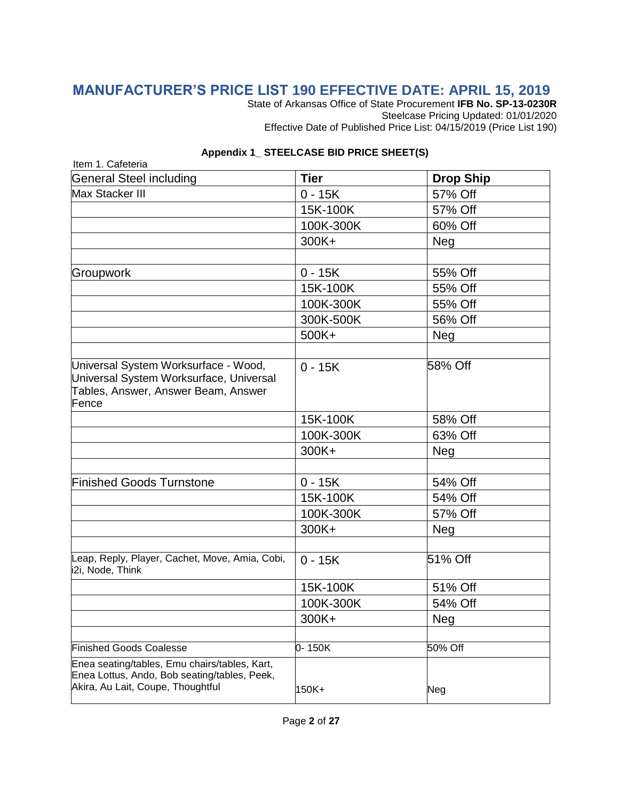## **MANUFACTURER'S PRICE LIST 190 EFFECTIVE DATE: APRIL 15, 2019**

State of Arkansas Office of State Procurement **IFB No. SP-13-0230R** Steelcase Pricing Updated: 01/01/2020 Effective Date of Published Price List: 04/15/2019 (Price List 190)

| <b>General Steel including</b>                                                                                                     | <b>Tier</b> | <b>Drop Ship</b> |
|------------------------------------------------------------------------------------------------------------------------------------|-------------|------------------|
| Max Stacker III                                                                                                                    | $0 - 15K$   | 57% Off          |
|                                                                                                                                    | 15K-100K    | 57% Off          |
|                                                                                                                                    | 100K-300K   | 60% Off          |
|                                                                                                                                    | 300K+       | Neg              |
|                                                                                                                                    |             |                  |
| Groupwork                                                                                                                          | $0 - 15K$   | 55% Off          |
|                                                                                                                                    | 15K-100K    | 55% Off          |
|                                                                                                                                    | 100K-300K   | 55% Off          |
|                                                                                                                                    | 300K-500K   | 56% Off          |
|                                                                                                                                    | 500K+       | <b>Neg</b>       |
|                                                                                                                                    |             |                  |
| Universal System Worksurface - Wood,<br>Universal System Worksurface, Universal<br>Tables, Answer, Answer Beam, Answer<br>Fence    | $0 - 15K$   | 58% Off          |
|                                                                                                                                    | 15K-100K    | 58% Off          |
|                                                                                                                                    | 100K-300K   | 63% Off          |
|                                                                                                                                    | 300K+       | Neg              |
|                                                                                                                                    |             |                  |
| <b>Finished Goods Turnstone</b>                                                                                                    | $0 - 15K$   | 54% Off          |
|                                                                                                                                    | 15K-100K    | 54% Off          |
|                                                                                                                                    | 100K-300K   | 57% Off          |
|                                                                                                                                    | 300K+       | Neg              |
|                                                                                                                                    |             |                  |
| Leap, Reply, Player, Cachet, Move, Amia, Cobi,<br>i2i, Node, Think                                                                 | $0 - 15K$   | 51% Off          |
|                                                                                                                                    | 15K-100K    | 51% Off          |
|                                                                                                                                    | 100K-300K   | 54% Off          |
|                                                                                                                                    | 300K+       | <b>Neg</b>       |
|                                                                                                                                    |             |                  |
| <b>Finished Goods Coalesse</b>                                                                                                     | 0-150K      | 50% Off          |
| Enea seating/tables, Emu chairs/tables, Kart,<br>Enea Lottus, Ando, Bob seating/tables, Peek,<br>Akira, Au Lait, Coupe, Thoughtful | 150K+       | Neg              |

#### **Appendix 1\_ STEELCASE BID PRICE SHEET(S)**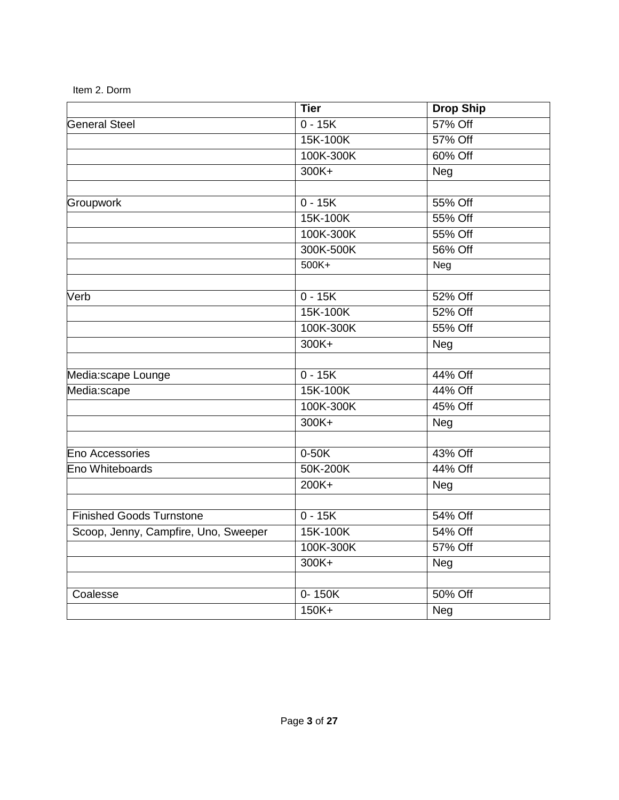|                                      | $\overline{T}$ ier | <b>Drop Ship</b> |
|--------------------------------------|--------------------|------------------|
| <b>General Steel</b>                 | $0 - 15K$          | 57% Off          |
|                                      | 15K-100K           | 57% Off          |
|                                      | 100K-300K          | 60% Off          |
|                                      | $300K +$           | Neg              |
|                                      |                    |                  |
| Groupwork                            | $0 - 15K$          | 55% Off          |
|                                      | 15K-100K           | 55% Off          |
|                                      | 100K-300K          | 55% Off          |
|                                      | 300K-500K          | 56% Off          |
|                                      | $500K +$           | Neg              |
| Verb                                 | $0 - 15K$          | 52% Off          |
|                                      | 15K-100K           | 52% Off          |
|                                      | 100K-300K          | 55% Off          |
|                                      | 300K+              | Neg              |
|                                      |                    |                  |
| Media:scape Lounge                   | $0 - 15K$          | 44% Off          |
| Media:scape                          | 15K-100K           | 44% Off          |
|                                      | 100K-300K          | 45% Off          |
|                                      | $300K +$           | Neg              |
| <b>Eno Accessories</b>               | $0-50K$            | 43% Off          |
| Eno Whiteboards                      | 50K-200K           | 44% Off          |
|                                      | $200K +$           |                  |
|                                      |                    | Neg              |
| <b>Finished Goods Turnstone</b>      | $0 - 15K$          | 54% Off          |
| Scoop, Jenny, Campfire, Uno, Sweeper | 15K-100K           | 54% Off          |
|                                      | 100K-300K          | 57% Off          |
|                                      | 300K+              | Neg              |
|                                      |                    |                  |
| Coalesse                             | $0 - 150K$         | 50% Off          |
|                                      | $150K +$           | Neg              |

Item 2. Dorm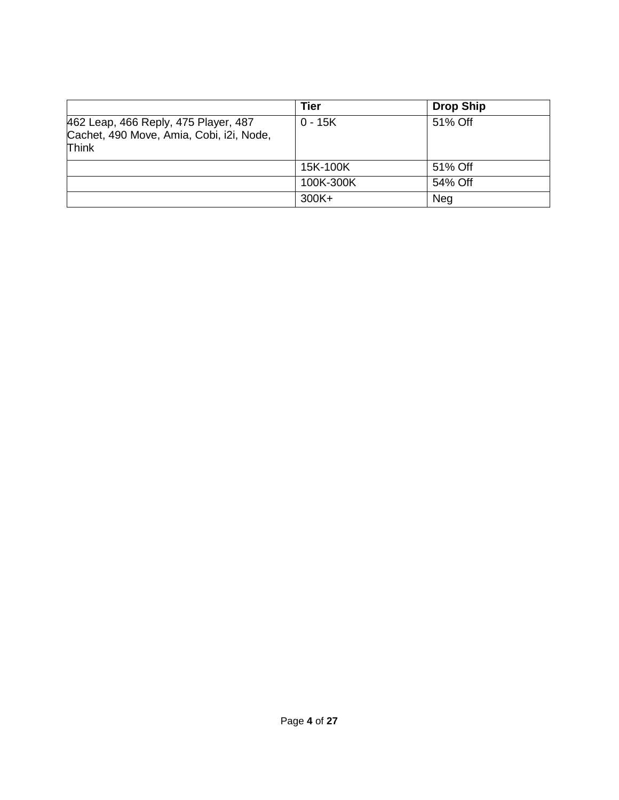|                                                                                                  | Tier      | <b>Drop Ship</b> |
|--------------------------------------------------------------------------------------------------|-----------|------------------|
| 462 Leap, 466 Reply, 475 Player, 487<br>Cachet, 490 Move, Amia, Cobi, i2i, Node,<br><b>Think</b> | $0 - 15K$ | 51% Off          |
|                                                                                                  | 15K-100K  | 51% Off          |
|                                                                                                  | 100K-300K | 54% Off          |
|                                                                                                  | $300K +$  | <b>Neg</b>       |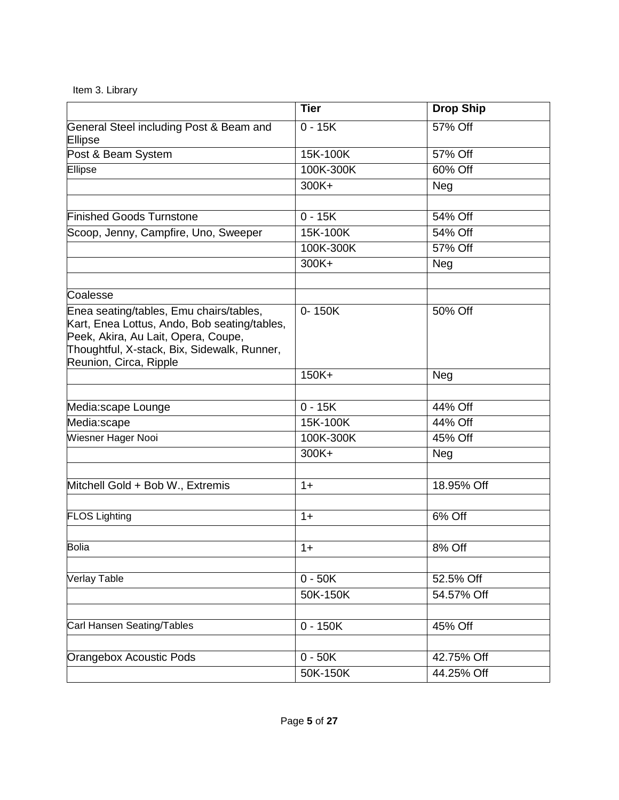|  |  | Item 3. Library |
|--|--|-----------------|
|--|--|-----------------|

|                                                                                                                                                                                                         | <b>Tier</b> | <b>Drop Ship</b>      |
|---------------------------------------------------------------------------------------------------------------------------------------------------------------------------------------------------------|-------------|-----------------------|
| General Steel including Post & Beam and<br>Ellipse                                                                                                                                                      | $0 - 15K$   | 57% Off               |
| Post & Beam System                                                                                                                                                                                      | 15K-100K    | 57% Off               |
| Ellipse                                                                                                                                                                                                 | 100K-300K   | 60% Off               |
|                                                                                                                                                                                                         | 300K+       | Neg                   |
|                                                                                                                                                                                                         |             |                       |
| <b>Finished Goods Turnstone</b>                                                                                                                                                                         | $0 - 15K$   | 54% Off               |
| Scoop, Jenny, Campfire, Uno, Sweeper                                                                                                                                                                    | 15K-100K    | 54% Off               |
|                                                                                                                                                                                                         | 100K-300K   | 57% Off               |
|                                                                                                                                                                                                         | 300K+       | Neg                   |
| Coalesse                                                                                                                                                                                                |             |                       |
| Enea seating/tables, Emu chairs/tables,<br>Kart, Enea Lottus, Ando, Bob seating/tables,<br>Peek, Akira, Au Lait, Opera, Coupe,<br>Thoughtful, X-stack, Bix, Sidewalk, Runner,<br>Reunion, Circa, Ripple | 0-150K      | 50% Off               |
|                                                                                                                                                                                                         | $150K +$    | Neg                   |
|                                                                                                                                                                                                         |             |                       |
| Media:scape Lounge                                                                                                                                                                                      | $0 - 15K$   | 44% Off               |
| Media:scape                                                                                                                                                                                             | 15K-100K    | 44% Off               |
| Wiesner Hager Nooi                                                                                                                                                                                      | 100K-300K   | $\overline{45\%}$ Off |
|                                                                                                                                                                                                         | 300K+       | Neg                   |
| Mitchell Gold + Bob W., Extremis                                                                                                                                                                        | $1+$        | 18.95% Off            |
|                                                                                                                                                                                                         |             |                       |
| <b>FLOS Lighting</b>                                                                                                                                                                                    | $1+$        | 6% Off                |
| Bolia                                                                                                                                                                                                   | $1+$        | 8% Off                |
|                                                                                                                                                                                                         |             |                       |
| <b>Verlay Table</b>                                                                                                                                                                                     | $0 - 50K$   | 52.5% Off             |
|                                                                                                                                                                                                         | 50K-150K    | 54.57% Off            |
|                                                                                                                                                                                                         |             |                       |
| Carl Hansen Seating/Tables                                                                                                                                                                              | $0 - 150K$  | 45% Off               |
|                                                                                                                                                                                                         |             |                       |
| Orangebox Acoustic Pods                                                                                                                                                                                 | $0 - 50K$   | 42.75% Off            |
|                                                                                                                                                                                                         | 50K-150K    | 44.25% Off            |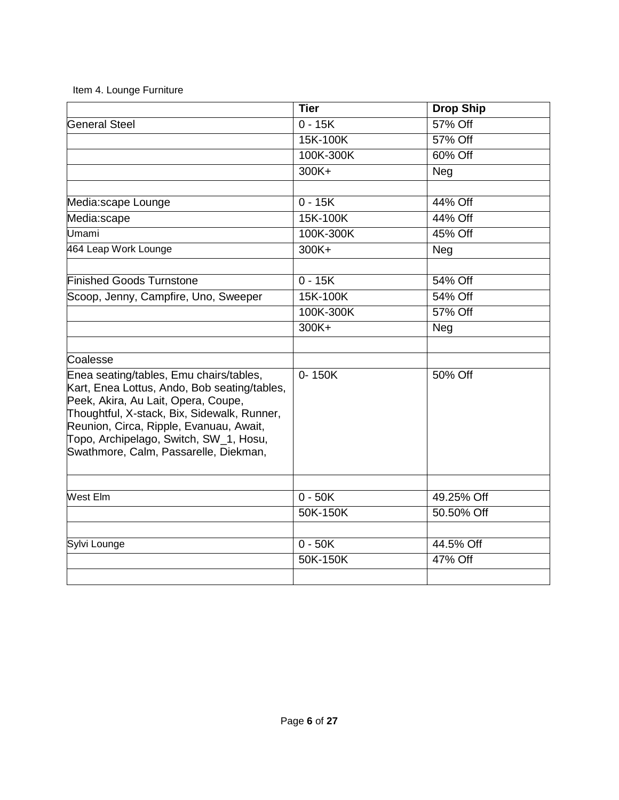| Item 4. Lounge Furniture |  |
|--------------------------|--|
|--------------------------|--|

|                                                                                                                                                                                                                                                                                                             | <b>Tier</b> | <b>Drop Ship</b> |
|-------------------------------------------------------------------------------------------------------------------------------------------------------------------------------------------------------------------------------------------------------------------------------------------------------------|-------------|------------------|
| <b>General Steel</b>                                                                                                                                                                                                                                                                                        | $0 - 15K$   | 57% Off          |
|                                                                                                                                                                                                                                                                                                             | 15K-100K    | 57% Off          |
|                                                                                                                                                                                                                                                                                                             | 100K-300K   | 60% Off          |
|                                                                                                                                                                                                                                                                                                             | 300K+       | Neg              |
|                                                                                                                                                                                                                                                                                                             |             |                  |
| Media:scape Lounge                                                                                                                                                                                                                                                                                          | $0 - 15K$   | 44% Off          |
| Media:scape                                                                                                                                                                                                                                                                                                 | 15K-100K    | 44% Off          |
| Umami                                                                                                                                                                                                                                                                                                       | 100K-300K   | 45% Off          |
| 464 Leap Work Lounge                                                                                                                                                                                                                                                                                        | 300K+       | Neg              |
|                                                                                                                                                                                                                                                                                                             |             |                  |
| <b>Finished Goods Turnstone</b>                                                                                                                                                                                                                                                                             | $0 - 15K$   | 54% Off          |
| Scoop, Jenny, Campfire, Uno, Sweeper                                                                                                                                                                                                                                                                        | 15K-100K    | 54% Off          |
|                                                                                                                                                                                                                                                                                                             | 100K-300K   | 57% Off          |
|                                                                                                                                                                                                                                                                                                             | 300K+       | Neg              |
| Coalesse                                                                                                                                                                                                                                                                                                    |             |                  |
| Enea seating/tables, Emu chairs/tables,<br>Kart, Enea Lottus, Ando, Bob seating/tables,<br>Peek, Akira, Au Lait, Opera, Coupe,<br>Thoughtful, X-stack, Bix, Sidewalk, Runner,<br>Reunion, Circa, Ripple, Evanuau, Await,<br>Topo, Archipelago, Switch, SW_1, Hosu,<br>Swathmore, Calm, Passarelle, Diekman, | $0 - 150K$  | 50% Off          |
|                                                                                                                                                                                                                                                                                                             |             |                  |
| <b>West Elm</b>                                                                                                                                                                                                                                                                                             | $0 - 50K$   | 49.25% Off       |
|                                                                                                                                                                                                                                                                                                             | 50K-150K    | 50.50% Off       |
| Sylvi Lounge                                                                                                                                                                                                                                                                                                | $0 - 50K$   | 44.5% Off        |
|                                                                                                                                                                                                                                                                                                             | 50K-150K    | 47% Off          |
|                                                                                                                                                                                                                                                                                                             |             |                  |
|                                                                                                                                                                                                                                                                                                             |             |                  |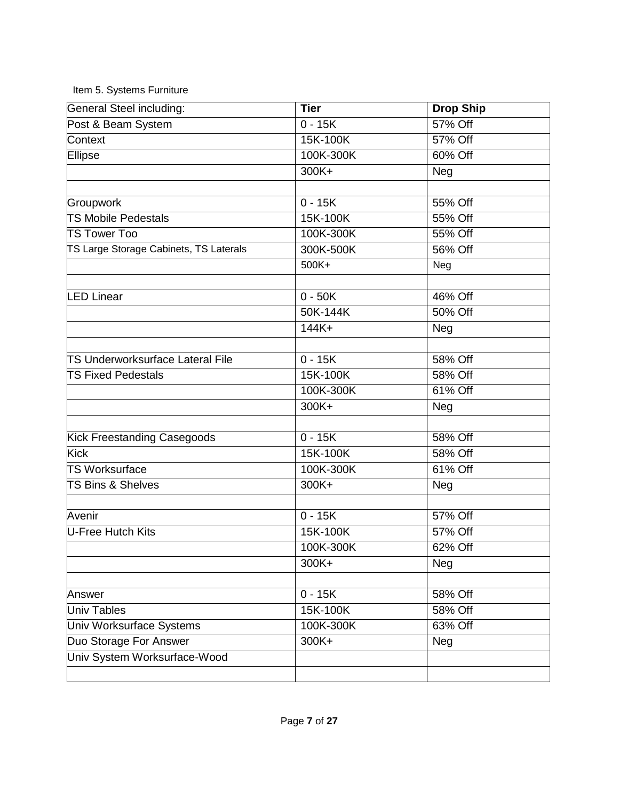Item 5. Systems Furniture

| General Steel including:                | <b>Tier</b>        | <b>Drop Ship</b> |
|-----------------------------------------|--------------------|------------------|
| Post & Beam System                      | $0 - 15K$          | 57% Off          |
| Context                                 | 15K-100K           | 57% Off          |
| Ellipse                                 | 100K-300K          | 60% Off          |
|                                         | $300K +$           | Neg              |
|                                         |                    |                  |
| Groupwork                               | $\overline{0-15K}$ | 55% Off          |
| <b>TS Mobile Pedestals</b>              | 15K-100K           | 55% Off          |
| <b>TS Tower Too</b>                     | 100K-300K          | 55% Off          |
| TS Large Storage Cabinets, TS Laterals  | 300K-500K          | 56% Off          |
|                                         | 500K+              | Neg              |
|                                         |                    |                  |
| <b>LED Linear</b>                       | $0 - 50K$          | 46% Off          |
|                                         | 50K-144K           | 50% Off          |
|                                         | $144K+$            | Neg              |
| <b>TS Underworksurface Lateral File</b> | $0 - 15K$          | 58% Off          |
|                                         |                    |                  |
| <b>TS Fixed Pedestals</b>               | 15K-100K           | 58% Off          |
|                                         | 100K-300K          | 61% Off          |
|                                         | 300K+              | Neg              |
| Kick Freestanding Casegoods             | $0 - 15K$          | 58% Off          |
| <b>Kick</b>                             | 15K-100K           | 58% Off          |
| <b>TS Worksurface</b>                   | 100K-300K          | 61% Off          |
| <b>TS Bins &amp; Shelves</b>            | 300K+              | <b>Neg</b>       |
|                                         |                    |                  |
| Avenir                                  | $0 - 15K$          | 57% Off          |
| U-Free Hutch Kits                       | 15K-100K           | 57% Off          |
|                                         | 100K-300K          | 62% Off          |
|                                         | 300K+              | Neg              |
|                                         |                    |                  |
| Answer                                  | $0 - 15K$          | 58% Off          |
| <b>Univ Tables</b>                      | 15K-100K           | 58% Off          |
| Univ Worksurface Systems                | 100K-300K          | 63% Off          |
| Duo Storage For Answer                  | 300K+              | Neg              |
| Univ System Worksurface-Wood            |                    |                  |
|                                         |                    |                  |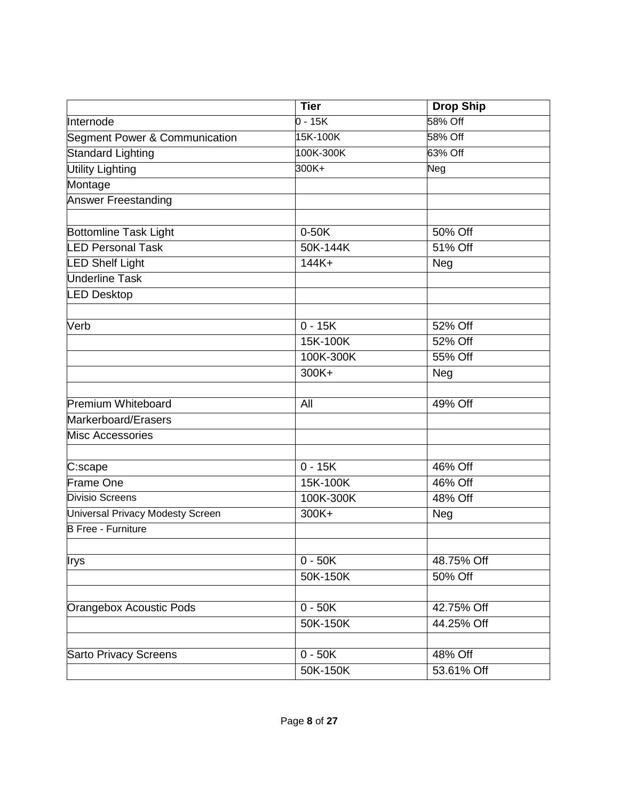|                                  | <b>Tier</b> | <b>Drop Ship</b> |
|----------------------------------|-------------|------------------|
| Internode                        | $0 - 15K$   | 58% Off          |
| Segment Power & Communication    | 15K-100K    | 58% Off          |
| <b>Standard Lighting</b>         | 100K-300K   | 63% Off          |
| <b>Utility Lighting</b>          | 300K+       | Neg              |
| Montage                          |             |                  |
| <b>Answer Freestanding</b>       |             |                  |
|                                  |             |                  |
| Bottomline Task Light            | $0-50K$     | 50% Off          |
| <b>LED Personal Task</b>         | 50K-144K    | 51% Off          |
| <b>LED Shelf Light</b>           | $144K+$     | Neg              |
| <b>Underline Task</b>            |             |                  |
| <b>LED Desktop</b>               |             |                  |
|                                  |             |                  |
| Verb                             | $0 - 15K$   | 52% Off          |
|                                  | 15K-100K    | 52% Off          |
|                                  | 100K-300K   | 55% Off          |
|                                  | 300K+       | Neg              |
|                                  |             |                  |
| <b>Premium Whiteboard</b>        | All         | 49% Off          |
| Markerboard/Erasers              |             |                  |
| <b>Misc Accessories</b>          |             |                  |
|                                  |             |                  |
| C:scape                          | $0 - 15K$   | 46% Off          |
| Frame One                        | 15K-100K    | 46% Off          |
| <b>Divisio Screens</b>           | 100K-300K   | 48% Off          |
| Universal Privacy Modesty Screen | 300K+       | Neg              |
| <b>B</b> Free - Furniture        |             |                  |
| Irys                             | $0 - 50K$   | 48.75% Off       |
|                                  | 50K-150K    | 50% Off          |
|                                  |             |                  |
| <b>Orangebox Acoustic Pods</b>   | $0 - 50K$   | 42.75% Off       |
|                                  | 50K-150K    | 44.25% Off       |
|                                  |             |                  |
| <b>Sarto Privacy Screens</b>     | $0 - 50K$   | 48% Off          |
|                                  | 50K-150K    | 53.61% Off       |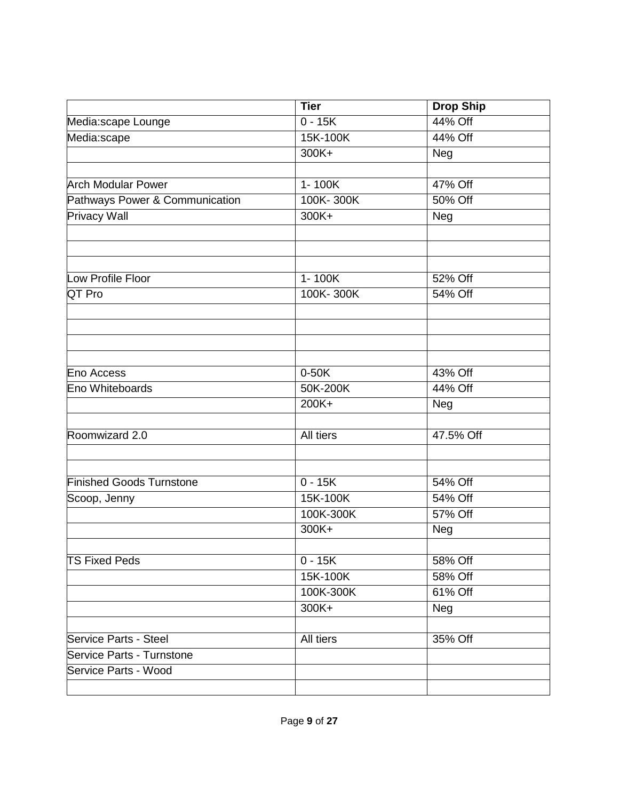| 44% Off<br>$0 - 15K$<br>Media:scape Lounge<br>15K-100K<br>Media:scape<br>44% Off<br>300K+<br>Neg<br>47% Off<br><b>Arch Modular Power</b><br>1-100K<br>100K-300K<br>50% Off<br>Pathways Power & Communication<br><b>Privacy Wall</b><br>300K+<br>Neg |  |
|-----------------------------------------------------------------------------------------------------------------------------------------------------------------------------------------------------------------------------------------------------|--|
|                                                                                                                                                                                                                                                     |  |
|                                                                                                                                                                                                                                                     |  |
|                                                                                                                                                                                                                                                     |  |
|                                                                                                                                                                                                                                                     |  |
|                                                                                                                                                                                                                                                     |  |
|                                                                                                                                                                                                                                                     |  |
|                                                                                                                                                                                                                                                     |  |
|                                                                                                                                                                                                                                                     |  |
|                                                                                                                                                                                                                                                     |  |
| Low Profile Floor<br>1-100K<br>52% Off                                                                                                                                                                                                              |  |
| QT Pro<br>100K-300K<br>54% Off                                                                                                                                                                                                                      |  |
|                                                                                                                                                                                                                                                     |  |
|                                                                                                                                                                                                                                                     |  |
|                                                                                                                                                                                                                                                     |  |
| $0-50K$<br>43% Off<br>Eno Access                                                                                                                                                                                                                    |  |
| 50K-200K<br>44% Off<br>Eno Whiteboards                                                                                                                                                                                                              |  |
| 200K+<br>Neg                                                                                                                                                                                                                                        |  |
|                                                                                                                                                                                                                                                     |  |
| Roomwizard 2.0<br>All tiers<br>47.5% Off                                                                                                                                                                                                            |  |
|                                                                                                                                                                                                                                                     |  |
| <b>Finished Goods Turnstone</b><br>$0 - 15K$<br>54% Off                                                                                                                                                                                             |  |
| 15K-100K<br>54% Off<br>Scoop, Jenny                                                                                                                                                                                                                 |  |
| 100K-300K<br>57% Off                                                                                                                                                                                                                                |  |
| 300K+<br><b>Neg</b>                                                                                                                                                                                                                                 |  |
|                                                                                                                                                                                                                                                     |  |
| <b>TS Fixed Peds</b><br>$0 - 15K$<br>58% Off                                                                                                                                                                                                        |  |
| 15K-100K<br>58% Off                                                                                                                                                                                                                                 |  |
| 100K-300K<br>61% Off                                                                                                                                                                                                                                |  |
| 300K+<br>Neg                                                                                                                                                                                                                                        |  |
|                                                                                                                                                                                                                                                     |  |
| All tiers<br>35% Off<br>Service Parts - Steel                                                                                                                                                                                                       |  |
| <b>Service Parts - Turnstone</b><br>Service Parts - Wood                                                                                                                                                                                            |  |
|                                                                                                                                                                                                                                                     |  |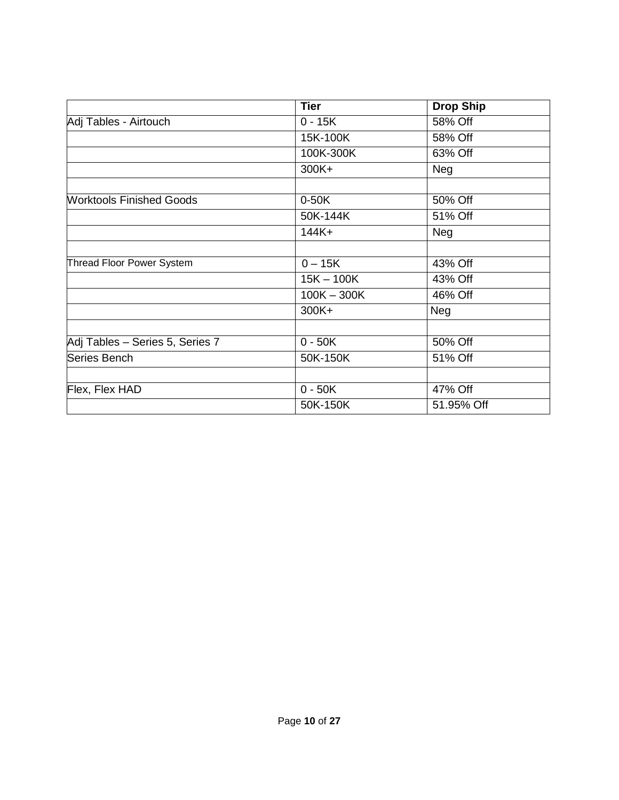|                                 | <b>Tier</b>          | <b>Drop Ship</b> |
|---------------------------------|----------------------|------------------|
| Adj Tables - Airtouch           | $0 - 15K$            | 58% Off          |
|                                 | 15K-100K             | 58% Off          |
|                                 | 100K-300K            | 63% Off          |
|                                 | 300K+                | Neg              |
|                                 |                      |                  |
| <b>Worktools Finished Goods</b> | $0-50K$              | 50% Off          |
|                                 | 50K-144K             | 51% Off          |
|                                 | $144K+$              | Neg              |
|                                 |                      |                  |
| Thread Floor Power System       | $0 - 15K$            | 43% Off          |
|                                 | $15K - 100K$         | 43% Off          |
|                                 | $100K - 300K$        | 46% Off          |
|                                 | 300K+                | Neg              |
|                                 |                      |                  |
| Adj Tables - Series 5, Series 7 | $\overline{0}$ - 50K | 50% Off          |
| Series Bench                    | 50K-150K             | 51% Off          |
|                                 |                      |                  |
| Flex, Flex HAD                  | $0 - 50K$            | 47% Off          |
|                                 | 50K-150K             | 51.95% Off       |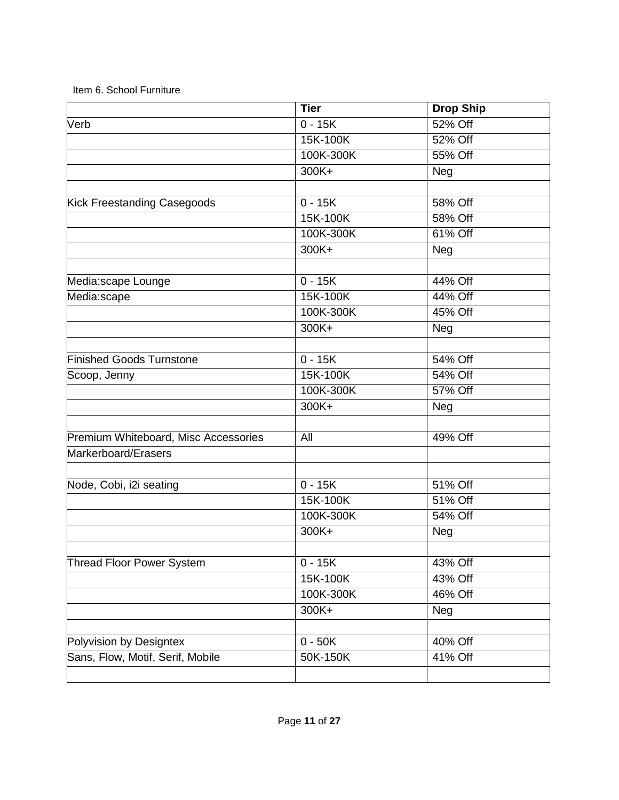|                                      | <b>Tier</b> | <b>Drop Ship</b> |
|--------------------------------------|-------------|------------------|
| Verb                                 | $0 - 15K$   | 52% Off          |
|                                      | 15K-100K    | 52% Off          |
|                                      | 100K-300K   | 55% Off          |
|                                      | $300K +$    | Neg              |
|                                      |             |                  |
| Kick Freestanding Casegoods          | $0 - 15K$   | 58% Off          |
|                                      | 15K-100K    | 58% Off          |
|                                      | 100K-300K   | 61% Off          |
|                                      | $300K +$    | Neg              |
| Media:scape Lounge                   | $0 - 15K$   | 44% Off          |
| Media:scape                          | 15K-100K    | 44% Off          |
|                                      | 100K-300K   | 45% Off          |
|                                      | $300K +$    | Neg              |
|                                      |             |                  |
| <b>Finished Goods Turnstone</b>      | $0 - 15K$   | 54% Off          |
| Scoop, Jenny                         | 15K-100K    | 54% Off          |
|                                      | 100K-300K   | 57% Off          |
|                                      | 300K+       | Neg              |
|                                      |             |                  |
| Premium Whiteboard, Misc Accessories | All         | 49% Off          |
| Markerboard/Erasers                  |             |                  |
| Node, Cobi, i2i seating              | $0 - 15K$   | 51% Off          |
|                                      | 15K-100K    | 51% Off          |
|                                      | 100K-300K   | 54% Off          |
|                                      | 300K+       | Neg              |
|                                      |             |                  |
| Thread Floor Power System            | $0 - 15K$   | 43% Off          |
|                                      | 15K-100K    | 43% Off          |
|                                      | 100K-300K   | 46% Off          |
|                                      | 300K+       | Neg              |
| Polyvision by Designtex              | $0 - 50K$   | 40% Off          |
| Sans, Flow, Motif, Serif, Mobile     | 50K-150K    | 41% Off          |
|                                      |             |                  |

## Item 6. School Furniture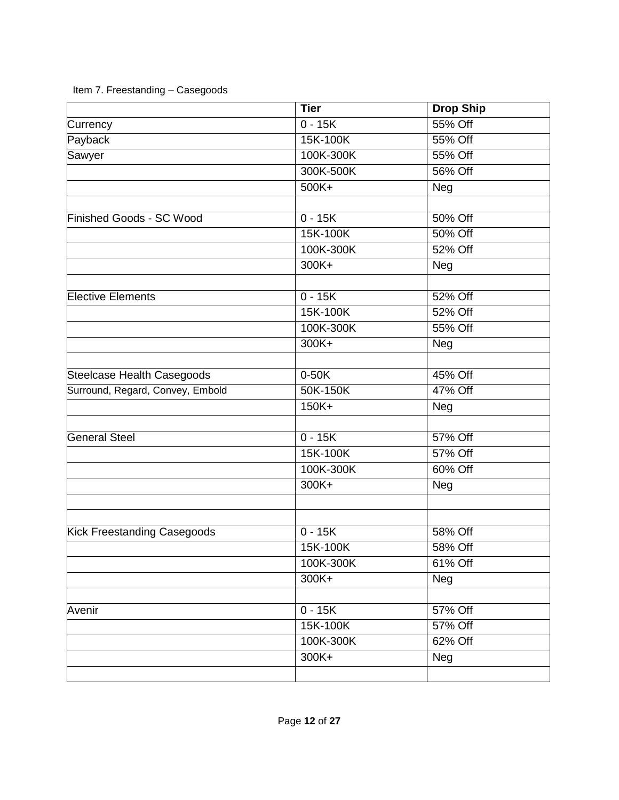|                                                                | <b>Tier</b>       | <b>Drop Ship</b>        |
|----------------------------------------------------------------|-------------------|-------------------------|
| Currency                                                       | $0 - 15K$         | 55% Off                 |
| Payback                                                        | 15K-100K          | 55% Off                 |
| Sawyer                                                         | 100K-300K         | 55% Off                 |
|                                                                | 300K-500K         | 56% Off                 |
|                                                                | 500K+             | Neg                     |
|                                                                |                   |                         |
| <b>Finished Goods - SC Wood</b>                                | $0 - 15K$         | 50% Off                 |
|                                                                | 15K-100K          | 50% Off                 |
|                                                                | 100K-300K         | 52% Off                 |
|                                                                | 300K+             | Neg                     |
|                                                                |                   |                         |
| <b>Elective Elements</b>                                       | $0 - 15K$         | $52\%$ Off              |
|                                                                | 15K-100K          | 52% Off                 |
|                                                                | 100K-300K         | 55% Off                 |
|                                                                | 300K+             | Neg                     |
|                                                                | $0-50K$           | 45% Off                 |
| Steelcase Health Casegoods<br>Surround, Regard, Convey, Embold |                   | $\overline{47\%}$ Off   |
|                                                                | 50K-150K<br>150K+ | Neg                     |
|                                                                |                   |                         |
| <b>General Steel</b>                                           | $0 - 15K$         | 57% Off                 |
|                                                                | 15K-100K          | 57% Off                 |
|                                                                | 100K-300K         | 60% Off                 |
|                                                                | 300K+             | $\overline{\text{Neg}}$ |
|                                                                |                   |                         |
|                                                                | $0 - 15K$         | 58% Off                 |
| Kick Freestanding Casegoods                                    |                   |                         |
|                                                                | 15K-100K          | 58% Off                 |
|                                                                | 100K-300K         | 61% Off                 |
|                                                                | 300K+             | $\overline{\text{Neg}}$ |
| Avenir                                                         | $0 - 15K$         | 57% Off                 |
|                                                                | 15K-100K          | 57% Off                 |
|                                                                | 100K-300K         | 62% Off                 |
|                                                                | 300K+             | Neg                     |
|                                                                |                   |                         |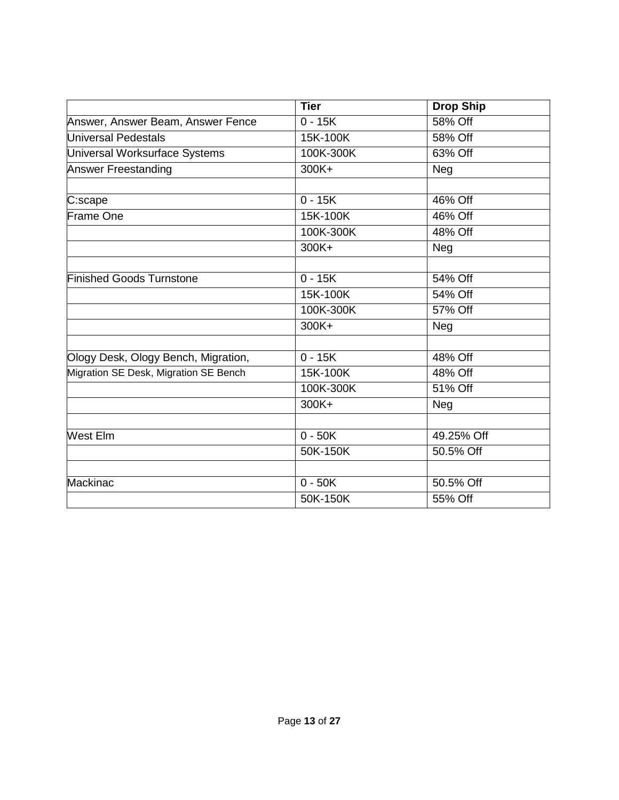|                                       | <b>Tier</b>        | <b>Drop Ship</b> |
|---------------------------------------|--------------------|------------------|
| Answer, Answer Beam, Answer Fence     | $0 - 15K$          | 58% Off          |
| Universal Pedestals                   | 15K-100K           | 58% Off          |
| Universal Worksurface Systems         | 100K-300K          | 63% Off          |
| <b>Answer Freestanding</b>            | 300K+              | Neg              |
|                                       |                    |                  |
| C:scape                               | $0 - 15K$          | 46% Off          |
| Frame One                             | 15K-100K           | 46% Off          |
|                                       | 100K-300K          | 48% Off          |
|                                       | 300K+              | Neg              |
|                                       |                    |                  |
| <b>Finished Goods Turnstone</b>       | $\overline{0-15K}$ | 54% Off          |
|                                       | 15K-100K           | 54% Off          |
|                                       | 100K-300K          | 57% Off          |
|                                       | 300K+              | Neg              |
|                                       |                    |                  |
| Ology Desk, Ology Bench, Migration,   | $0 - 15K$          | 48% Off          |
| Migration SE Desk, Migration SE Bench | 15K-100K           | 48% Off          |
|                                       | 100K-300K          | 51% Off          |
|                                       | 300K+              | Neg              |
|                                       |                    |                  |
| West Elm                              | $0 - 50K$          | 49.25% Off       |
|                                       | 50K-150K           | 50.5% Off        |
|                                       |                    |                  |
| Mackinac                              | $0 - 50K$          | 50.5% Off        |
|                                       | 50K-150K           | 55% Off          |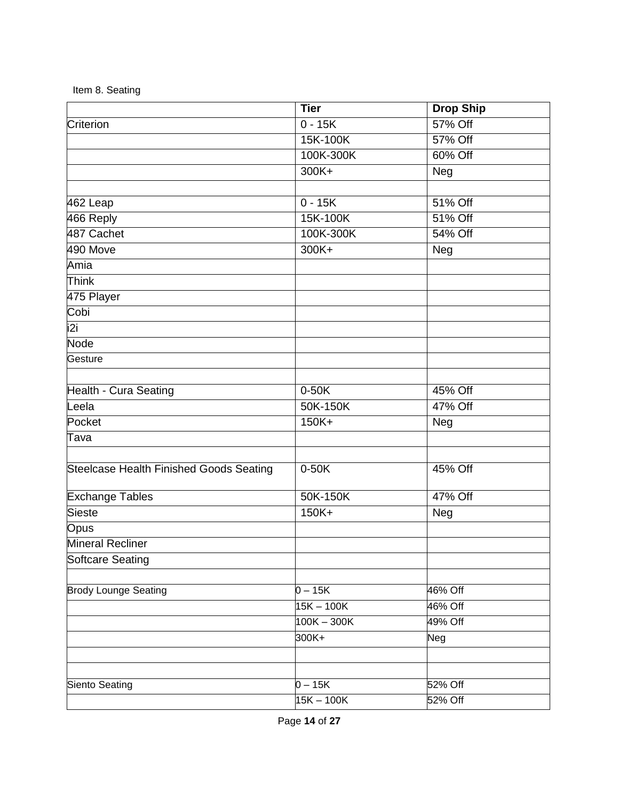|  |  | Item 8. Seating |
|--|--|-----------------|
|--|--|-----------------|

|                                         | <b>Tier</b>          | <b>Drop Ship</b>   |
|-----------------------------------------|----------------------|--------------------|
| Criterion                               | $0 - 15K$            | 57% Off            |
|                                         | 15K-100K             | 57% Off            |
|                                         | 100K-300K            | 60% Off            |
|                                         | $300K +$             | Neg                |
|                                         |                      |                    |
| 462 Leap                                | $0 - 15K$            | 51% Off            |
| 466 Reply                               | 15K-100K             | 51% Off            |
| 487 Cachet                              | 100K-300K            | 54% Off            |
| 490 Move                                | $300K +$             | Neg                |
| Amia                                    |                      |                    |
| <b>Think</b>                            |                      |                    |
| 475 Player                              |                      |                    |
| Cobi                                    |                      |                    |
| i2i                                     |                      |                    |
| <b>Node</b>                             |                      |                    |
| Gesture                                 |                      |                    |
|                                         |                      |                    |
| Health - Cura Seating                   | $0-50K$              | 45% Off<br>47% Off |
| Leela<br>Pocket                         | 50K-150K<br>$150K +$ |                    |
|                                         |                      | <b>Neg</b>         |
| Tava                                    |                      |                    |
| Steelcase Health Finished Goods Seating | $0-50K$              | 45% Off            |
| <b>Exchange Tables</b>                  | 50K-150K             | 47% Off            |
| Sieste                                  | $150K +$             | Neg                |
| Opus                                    |                      |                    |
| Mineral Recliner                        |                      |                    |
| Softcare Seating                        |                      |                    |
|                                         | $0 - 15K$            | 46% Off            |
| <b>Brody Lounge Seating</b>             | $15K - 100K$         | $46\%$ Off         |
|                                         | $100K - 300K$        | 49% Off            |
|                                         | 300K+                |                    |
|                                         |                      | Neg                |
|                                         |                      |                    |
| Siento Seating                          | $0 - 15K$            | 52% Off            |
|                                         | $15K - 100K$         | 52% Off            |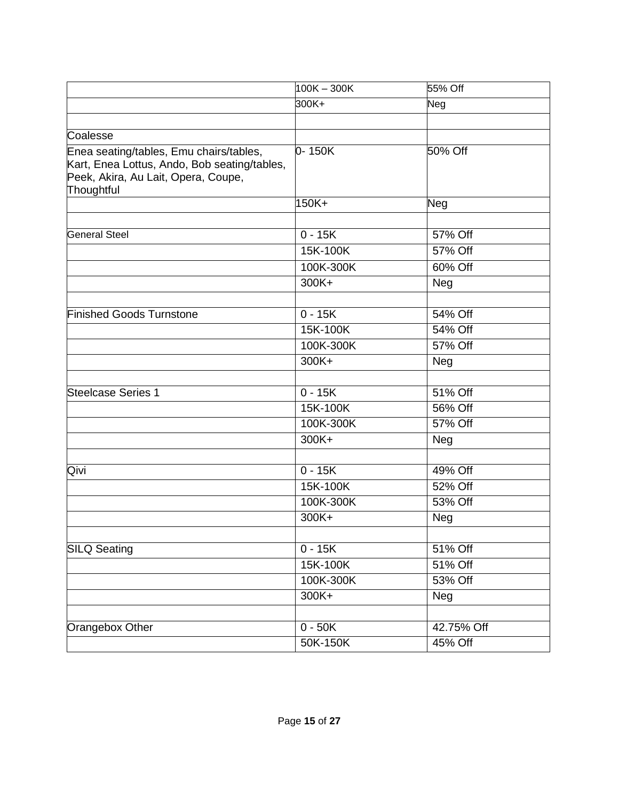|                                                                                                                                              | $100K - 300K$ | 55% Off    |
|----------------------------------------------------------------------------------------------------------------------------------------------|---------------|------------|
|                                                                                                                                              | 300K+         | Neg        |
| Coalesse                                                                                                                                     |               |            |
| Enea seating/tables, Emu chairs/tables,<br>Kart, Enea Lottus, Ando, Bob seating/tables,<br>Peek, Akira, Au Lait, Opera, Coupe,<br>Thoughtful | $0-150K$      | 50% Off    |
|                                                                                                                                              | 150K+         | Neg        |
| <b>General Steel</b>                                                                                                                         | $0 - 15K$     | 57% Off    |
|                                                                                                                                              | 15K-100K      | 57% Off    |
|                                                                                                                                              | 100K-300K     | 60% Off    |
|                                                                                                                                              | 300K+         | Neg        |
| <b>Finished Goods Turnstone</b>                                                                                                              | $0 - 15K$     | 54% Off    |
|                                                                                                                                              | 15K-100K      | 54% Off    |
|                                                                                                                                              | 100K-300K     | 57% Off    |
|                                                                                                                                              | 300K+         | Neg        |
| <b>Steelcase Series 1</b>                                                                                                                    | $0 - 15K$     | 51% Off    |
|                                                                                                                                              | 15K-100K      | 56% Off    |
|                                                                                                                                              | 100K-300K     | 57% Off    |
|                                                                                                                                              | 300K+         | Neg        |
| Qivi                                                                                                                                         | $0 - 15K$     | 49% Off    |
|                                                                                                                                              | 15K-100K      | 52% Off    |
|                                                                                                                                              | 100K-300K     | 53% Off    |
|                                                                                                                                              | 300K+         | Neg        |
| <b>SILQ Seating</b>                                                                                                                          | $0 - 15K$     | 51% Off    |
|                                                                                                                                              | 15K-100K      | 51% Off    |
|                                                                                                                                              | 100K-300K     | 53% Off    |
|                                                                                                                                              | 300K+         | Neg        |
|                                                                                                                                              |               |            |
| Orangebox Other                                                                                                                              | $0 - 50K$     | 42.75% Off |
|                                                                                                                                              | 50K-150K      | 45% Off    |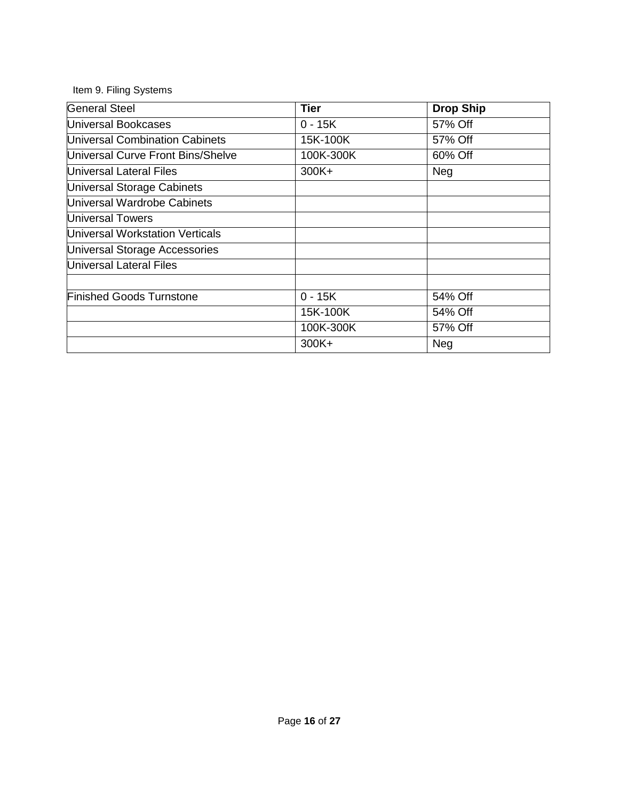## Item 9. Filing Systems

| <b>General Steel</b>              | Tier                 | <b>Drop Ship</b> |
|-----------------------------------|----------------------|------------------|
| Universal Bookcases               | $\overline{0}$ - 15K | 57% Off          |
| Universal Combination Cabinets    | 15K-100K             | 57% Off          |
| Universal Curve Front Bins/Shelve | 100K-300K            | 60% Off          |
| <b>Universal Lateral Files</b>    | 300K+                | <b>Neg</b>       |
| Universal Storage Cabinets        |                      |                  |
| Universal Wardrobe Cabinets       |                      |                  |
| <b>Universal Towers</b>           |                      |                  |
| Universal Workstation Verticals   |                      |                  |
| Universal Storage Accessories     |                      |                  |
| <b>Universal Lateral Files</b>    |                      |                  |
|                                   |                      |                  |
| <b>Finished Goods Turnstone</b>   | $0 - 15K$            | 54% Off          |
|                                   | 15K-100K             | 54% Off          |
|                                   | 100K-300K            | 57% Off          |
|                                   | 300K+                | Neg              |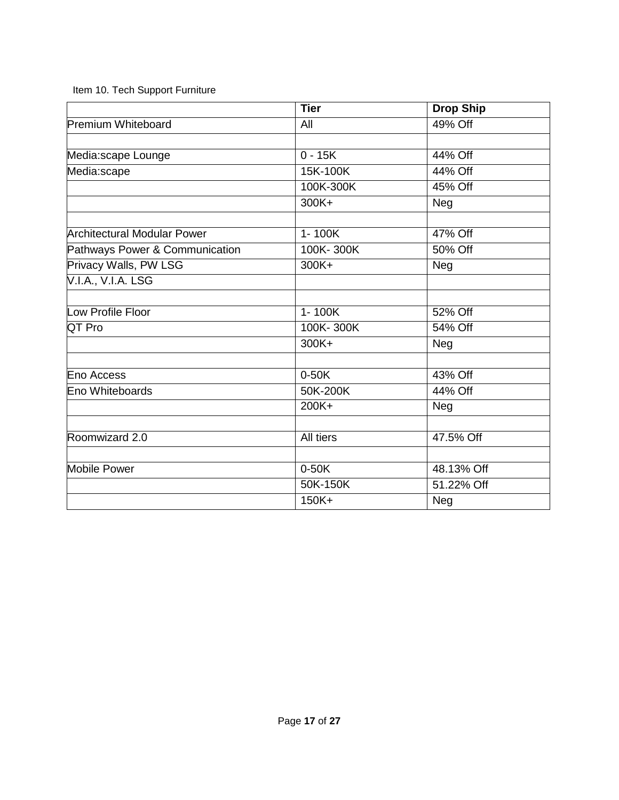Item 10. Tech Support Furniture

|                                | <b>Tier</b>          | <b>Drop Ship</b> |
|--------------------------------|----------------------|------------------|
| <b>Premium Whiteboard</b>      | All                  | 49% Off          |
|                                |                      |                  |
| Media:scape Lounge             | $\overline{0}$ - 15K | 44% Off          |
| Media:scape                    | 15K-100K             | 44% Off          |
|                                | 100K-300K            | 45% Off          |
|                                | 300K+                | Neg              |
| Architectural Modular Power    | 1-100K               | 47% Off          |
| Pathways Power & Communication | 100K-300K            | 50% Off          |
| Privacy Walls, PW LSG          | 300K+                | Neg              |
| V.I.A., V.I.A. LSG             |                      |                  |
|                                |                      |                  |
| Low Profile Floor              | $1 - 100K$           | 52% Off          |
| QT Pro                         | 100K-300K            | 54% Off          |
|                                | 300K+                | Neg              |
| Eno Access                     | $0-50K$              | 43% Off          |
| Eno Whiteboards                | 50K-200K             | 44% Off          |
|                                |                      |                  |
|                                | 200K+                | Neg              |
| Roomwizard 2.0                 | All tiers            | 47.5% Off        |
|                                |                      |                  |
| <b>Mobile Power</b>            | $0-50K$              | 48.13% Off       |
|                                | 50K-150K             | 51.22% Off       |
|                                | 150K+                | Neg              |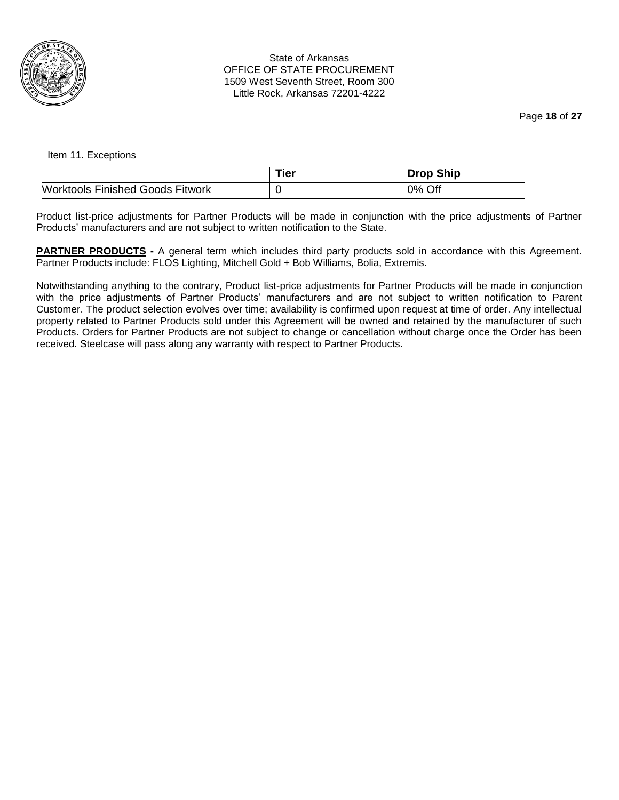

#### State of Arkansas OFFICE OF STATE PROCUREMENT 1509 West Seventh Street, Room 300 Little Rock, Arkansas 72201-4222

Page **18** of **27**

Item 11. Exceptions

|                                  | Tier | <b>Drop Ship</b> |
|----------------------------------|------|------------------|
| Worktools Finished Goods Fitwork |      | 0% Off           |

Product list-price adjustments for Partner Products will be made in conjunction with the price adjustments of Partner Products' manufacturers and are not subject to written notification to the State.

**PARTNER PRODUCTS** - A general term which includes third party products sold in accordance with this Agreement. Partner Products include: FLOS Lighting, Mitchell Gold + Bob Williams, Bolia, Extremis.

Notwithstanding anything to the contrary, Product list-price adjustments for Partner Products will be made in conjunction with the price adjustments of Partner Products' manufacturers and are not subject to written notification to Parent Customer. The product selection evolves over time; availability is confirmed upon request at time of order. Any intellectual property related to Partner Products sold under this Agreement will be owned and retained by the manufacturer of such Products. Orders for Partner Products are not subject to change or cancellation without charge once the Order has been received. Steelcase will pass along any warranty with respect to Partner Products.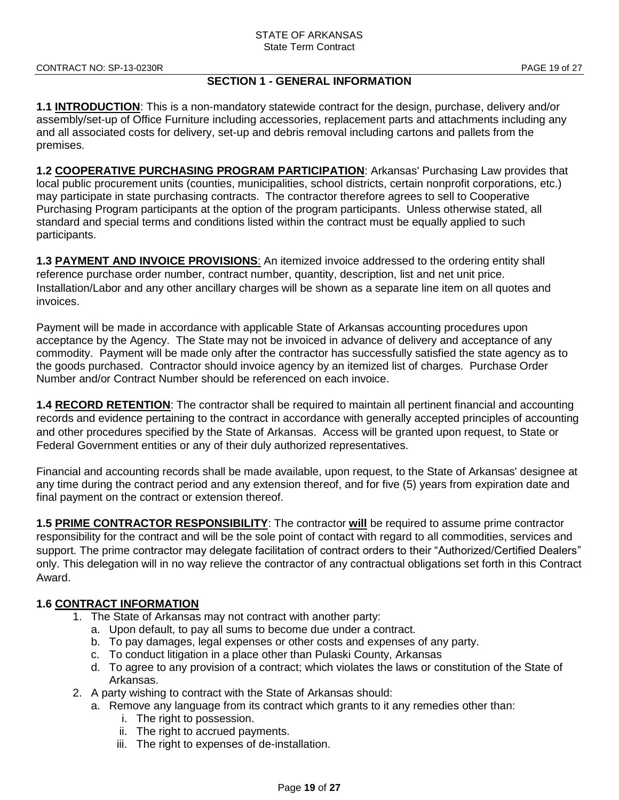## **SECTION 1 - GENERAL INFORMATION**

**1.1 INTRODUCTION**: This is a non-mandatory statewide contract for the design, purchase, delivery and/or assembly/set-up of Office Furniture including accessories, replacement parts and attachments including any and all associated costs for delivery, set-up and debris removal including cartons and pallets from the premises.

**1.2 COOPERATIVE PURCHASING PROGRAM PARTICIPATION**: Arkansas' Purchasing Law provides that local public procurement units (counties, municipalities, school districts, certain nonprofit corporations, etc.) may participate in state purchasing contracts. The contractor therefore agrees to sell to Cooperative Purchasing Program participants at the option of the program participants. Unless otherwise stated, all standard and special terms and conditions listed within the contract must be equally applied to such participants.

**1.3 PAYMENT AND INVOICE PROVISIONS**: An itemized invoice addressed to the ordering entity shall reference purchase order number, contract number, quantity, description, list and net unit price. Installation/Labor and any other ancillary charges will be shown as a separate line item on all quotes and invoices.

Payment will be made in accordance with applicable State of Arkansas accounting procedures upon acceptance by the Agency. The State may not be invoiced in advance of delivery and acceptance of any commodity. Payment will be made only after the contractor has successfully satisfied the state agency as to the goods purchased. Contractor should invoice agency by an itemized list of charges. Purchase Order Number and/or Contract Number should be referenced on each invoice.

**1.4 RECORD RETENTION**: The contractor shall be required to maintain all pertinent financial and accounting records and evidence pertaining to the contract in accordance with generally accepted principles of accounting and other procedures specified by the State of Arkansas. Access will be granted upon request, to State or Federal Government entities or any of their duly authorized representatives.

Financial and accounting records shall be made available, upon request, to the State of Arkansas' designee at any time during the contract period and any extension thereof, and for five (5) years from expiration date and final payment on the contract or extension thereof.

**1.5 PRIME CONTRACTOR RESPONSIBILITY**: The contractor **will** be required to assume prime contractor responsibility for the contract and will be the sole point of contact with regard to all commodities, services and support. The prime contractor may delegate facilitation of contract orders to their "Authorized/Certified Dealers" only. This delegation will in no way relieve the contractor of any contractual obligations set forth in this Contract Award.

## **1.6 CONTRACT INFORMATION**

- 1. The State of Arkansas may not contract with another party:
	- a. Upon default, to pay all sums to become due under a contract.
	- b. To pay damages, legal expenses or other costs and expenses of any party.
	- c. To conduct litigation in a place other than Pulaski County, Arkansas
	- d. To agree to any provision of a contract; which violates the laws or constitution of the State of Arkansas.
- 2. A party wishing to contract with the State of Arkansas should:
	- a. Remove any language from its contract which grants to it any remedies other than:
		- i. The right to possession.
		- ii. The right to accrued payments.
		- iii. The right to expenses of de-installation.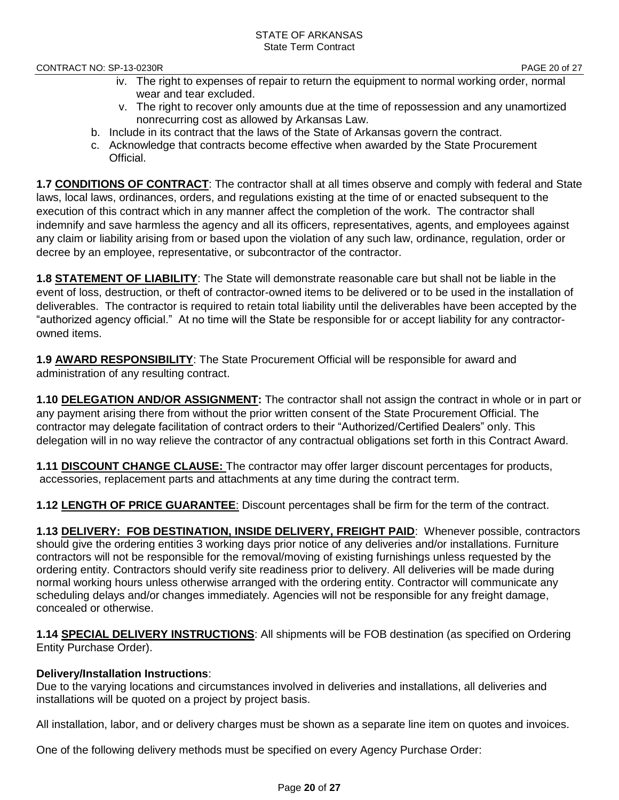- iv. The right to expenses of repair to return the equipment to normal working order, normal wear and tear excluded.
- v. The right to recover only amounts due at the time of repossession and any unamortized nonrecurring cost as allowed by Arkansas Law.
- b. Include in its contract that the laws of the State of Arkansas govern the contract.
- c. Acknowledge that contracts become effective when awarded by the State Procurement Official.

**1.7 CONDITIONS OF CONTRACT**: The contractor shall at all times observe and comply with federal and State laws, local laws, ordinances, orders, and regulations existing at the time of or enacted subsequent to the execution of this contract which in any manner affect the completion of the work. The contractor shall indemnify and save harmless the agency and all its officers, representatives, agents, and employees against any claim or liability arising from or based upon the violation of any such law, ordinance, regulation, order or decree by an employee, representative, or subcontractor of the contractor.

**1.8 STATEMENT OF LIABILITY**: The State will demonstrate reasonable care but shall not be liable in the event of loss, destruction, or theft of contractor-owned items to be delivered or to be used in the installation of deliverables. The contractor is required to retain total liability until the deliverables have been accepted by the "authorized agency official." At no time will the State be responsible for or accept liability for any contractorowned items.

**1.9 AWARD RESPONSIBILITY**: The State Procurement Official will be responsible for award and administration of any resulting contract.

**1.10 DELEGATION AND/OR ASSIGNMENT:** The contractor shall not assign the contract in whole or in part or any payment arising there from without the prior written consent of the State Procurement Official. The contractor may delegate facilitation of contract orders to their "Authorized/Certified Dealers" only. This delegation will in no way relieve the contractor of any contractual obligations set forth in this Contract Award.

**1.11 DISCOUNT CHANGE CLAUSE:** The contractor may offer larger discount percentages for products, accessories, replacement parts and attachments at any time during the contract term.

**1.12 LENGTH OF PRICE GUARANTEE**: Discount percentages shall be firm for the term of the contract.

**1.13 DELIVERY: FOB DESTINATION, INSIDE DELIVERY, FREIGHT PAID**: Whenever possible, contractors should give the ordering entities 3 working days prior notice of any deliveries and/or installations. Furniture contractors will not be responsible for the removal/moving of existing furnishings unless requested by the ordering entity. Contractors should verify site readiness prior to delivery. All deliveries will be made during normal working hours unless otherwise arranged with the ordering entity. Contractor will communicate any scheduling delays and/or changes immediately. Agencies will not be responsible for any freight damage, concealed or otherwise.

**1.14 SPECIAL DELIVERY INSTRUCTIONS**: All shipments will be FOB destination (as specified on Ordering Entity Purchase Order).

## **Delivery/Installation Instructions**:

Due to the varying locations and circumstances involved in deliveries and installations, all deliveries and installations will be quoted on a project by project basis.

All installation, labor, and or delivery charges must be shown as a separate line item on quotes and invoices.

One of the following delivery methods must be specified on every Agency Purchase Order: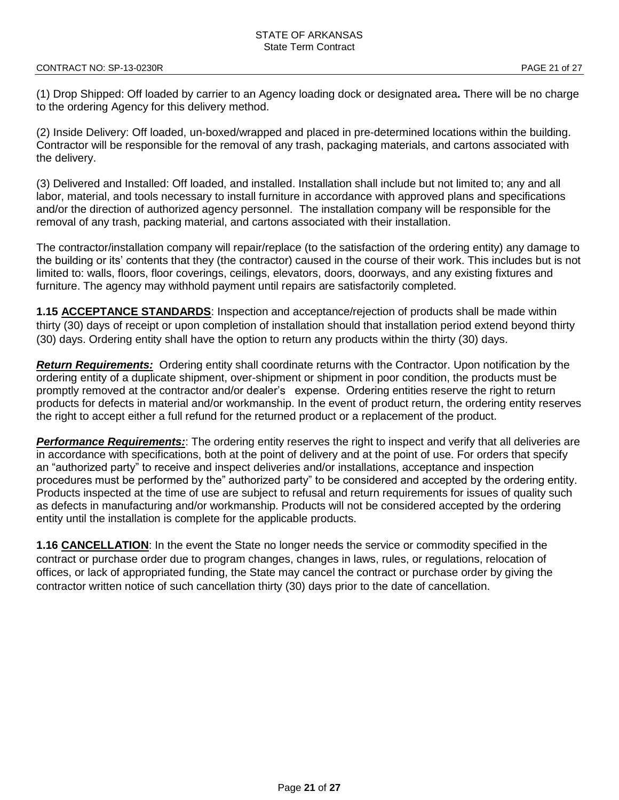(1) Drop Shipped: Off loaded by carrier to an Agency loading dock or designated area**.** There will be no charge to the ordering Agency for this delivery method.

(2) Inside Delivery: Off loaded, un-boxed/wrapped and placed in pre-determined locations within the building. Contractor will be responsible for the removal of any trash, packaging materials, and cartons associated with the delivery.

(3) Delivered and Installed: Off loaded, and installed. Installation shall include but not limited to; any and all labor, material, and tools necessary to install furniture in accordance with approved plans and specifications and/or the direction of authorized agency personnel. The installation company will be responsible for the removal of any trash, packing material, and cartons associated with their installation.

The contractor/installation company will repair/replace (to the satisfaction of the ordering entity) any damage to the building or its' contents that they (the contractor) caused in the course of their work. This includes but is not limited to: walls, floors, floor coverings, ceilings, elevators, doors, doorways, and any existing fixtures and furniture. The agency may withhold payment until repairs are satisfactorily completed.

**1.15 ACCEPTANCE STANDARDS**: Inspection and acceptance/rejection of products shall be made within thirty (30) days of receipt or upon completion of installation should that installation period extend beyond thirty (30) days. Ordering entity shall have the option to return any products within the thirty (30) days.

*Return Requirements:* Ordering entity shall coordinate returns with the Contractor. Upon notification by the ordering entity of a duplicate shipment, over-shipment or shipment in poor condition, the products must be promptly removed at the contractor and/or dealer's expense. Ordering entities reserve the right to return products for defects in material and/or workmanship. In the event of product return, the ordering entity reserves the right to accept either a full refund for the returned product or a replacement of the product.

*Performance Requirements:*: The ordering entity reserves the right to inspect and verify that all deliveries are in accordance with specifications, both at the point of delivery and at the point of use. For orders that specify an "authorized party" to receive and inspect deliveries and/or installations, acceptance and inspection procedures must be performed by the" authorized party" to be considered and accepted by the ordering entity. Products inspected at the time of use are subject to refusal and return requirements for issues of quality such as defects in manufacturing and/or workmanship. Products will not be considered accepted by the ordering entity until the installation is complete for the applicable products.

**1.16 CANCELLATION**: In the event the State no longer needs the service or commodity specified in the contract or purchase order due to program changes, changes in laws, rules, or regulations, relocation of offices, or lack of appropriated funding, the State may cancel the contract or purchase order by giving the contractor written notice of such cancellation thirty (30) days prior to the date of cancellation.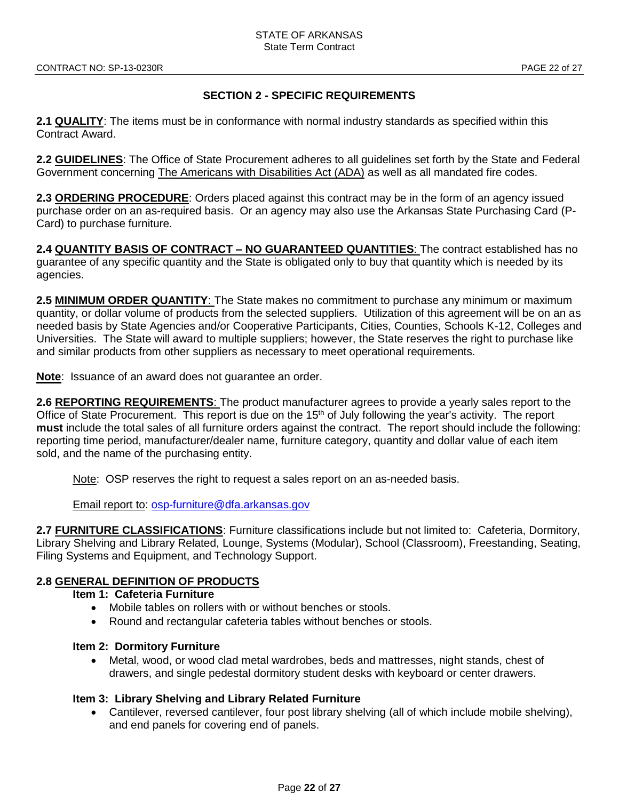## **SECTION 2 - SPECIFIC REQUIREMENTS**

**2.1 QUALITY**: The items must be in conformance with normal industry standards as specified within this Contract Award.

**2.2 GUIDELINES**: The Office of State Procurement adheres to all guidelines set forth by the State and Federal Government concerning The Americans with Disabilities Act (ADA) as well as all mandated fire codes.

**2.3 ORDERING PROCEDURE**: Orders placed against this contract may be in the form of an agency issued purchase order on an as-required basis. Or an agency may also use the Arkansas State Purchasing Card (P-Card) to purchase furniture.

**2.4 QUANTITY BASIS OF CONTRACT – NO GUARANTEED QUANTITIES**: The contract established has no guarantee of any specific quantity and the State is obligated only to buy that quantity which is needed by its agencies.

**2.5 MINIMUM ORDER QUANTITY**: The State makes no commitment to purchase any minimum or maximum quantity, or dollar volume of products from the selected suppliers. Utilization of this agreement will be on an as needed basis by State Agencies and/or Cooperative Participants, Cities, Counties, Schools K-12, Colleges and Universities. The State will award to multiple suppliers; however, the State reserves the right to purchase like and similar products from other suppliers as necessary to meet operational requirements.

**Note**: Issuance of an award does not guarantee an order.

**2.6 REPORTING REQUIREMENTS**: The product manufacturer agrees to provide a yearly sales report to the Office of State Procurement. This report is due on the 15<sup>th</sup> of July following the year's activity. The report **must** include the total sales of all furniture orders against the contract. The report should include the following: reporting time period, manufacturer/dealer name, furniture category, quantity and dollar value of each item sold, and the name of the purchasing entity.

Note: OSP reserves the right to request a sales report on an as-needed basis.

Email report to: [osp-furniture@dfa.arkansas.gov](mailto:osp-furniture@dfa.arkansas.gov)

**2.7 FURNITURE CLASSIFICATIONS**: Furniture classifications include but not limited to: Cafeteria, Dormitory, Library Shelving and Library Related, Lounge, Systems (Modular), School (Classroom), Freestanding, Seating, Filing Systems and Equipment, and Technology Support.

## **2.8 GENERAL DEFINITION OF PRODUCTS**

- **Item 1: Cafeteria Furniture** 
	- Mobile tables on rollers with or without benches or stools.
	- Round and rectangular cafeteria tables without benches or stools.

#### **Item 2: Dormitory Furniture**

• Metal, wood, or wood clad metal wardrobes, beds and mattresses, night stands, chest of drawers, and single pedestal dormitory student desks with keyboard or center drawers.

#### **Item 3: Library Shelving and Library Related Furniture**

• Cantilever, reversed cantilever, four post library shelving (all of which include mobile shelving), and end panels for covering end of panels.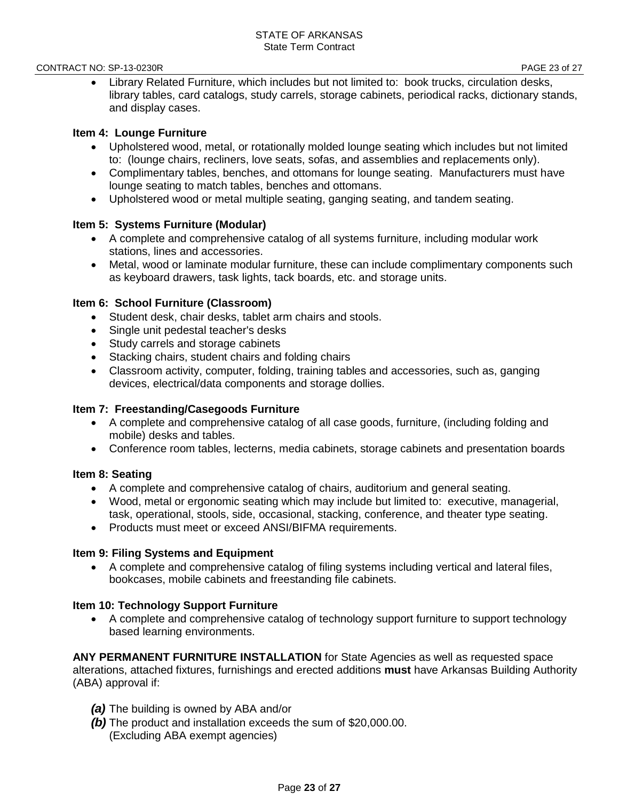#### CONTRACT NO: SP-13-0230R **PAGE 23 of 27**

• Library Related Furniture, which includes but not limited to: book trucks, circulation desks, library tables, card catalogs, study carrels, storage cabinets, periodical racks, dictionary stands, and display cases.

#### **Item 4: Lounge Furniture**

- Upholstered wood, metal, or rotationally molded lounge seating which includes but not limited to: (lounge chairs, recliners, love seats, sofas, and assemblies and replacements only).
- Complimentary tables, benches, and ottomans for lounge seating. Manufacturers must have lounge seating to match tables, benches and ottomans.
- Upholstered wood or metal multiple seating, ganging seating, and tandem seating.

#### **Item 5: Systems Furniture (Modular)**

- A complete and comprehensive catalog of all systems furniture, including modular work stations, lines and accessories.
- Metal, wood or laminate modular furniture, these can include complimentary components such as keyboard drawers, task lights, tack boards, etc. and storage units.

#### **Item 6: School Furniture (Classroom)**

- Student desk, chair desks, tablet arm chairs and stools.
- Single unit pedestal teacher's desks
- Study carrels and storage cabinets
- Stacking chairs, student chairs and folding chairs
- Classroom activity, computer, folding, training tables and accessories, such as, ganging devices, electrical/data components and storage dollies.

#### **Item 7: Freestanding/Casegoods Furniture**

- A complete and comprehensive catalog of all case goods, furniture, (including folding and mobile) desks and tables.
- Conference room tables, lecterns, media cabinets, storage cabinets and presentation boards

#### **Item 8: Seating**

- A complete and comprehensive catalog of chairs, auditorium and general seating.
- Wood, metal or ergonomic seating which may include but limited to: executive, managerial, task, operational, stools, side, occasional, stacking, conference, and theater type seating.
- Products must meet or exceed ANSI/BIFMA requirements.

#### **Item 9: Filing Systems and Equipment**

• A complete and comprehensive catalog of filing systems including vertical and lateral files, bookcases, mobile cabinets and freestanding file cabinets.

#### **Item 10: Technology Support Furniture**

• A complete and comprehensive catalog of technology support furniture to support technology based learning environments.

**ANY PERMANENT FURNITURE INSTALLATION** for State Agencies as well as requested space alterations, attached fixtures, furnishings and erected additions **must** have Arkansas Building Authority (ABA) approval if:

- *(a)* The building is owned by ABA and/or
- *(b)* The product and installation exceeds the sum of \$20,000.00. (Excluding ABA exempt agencies)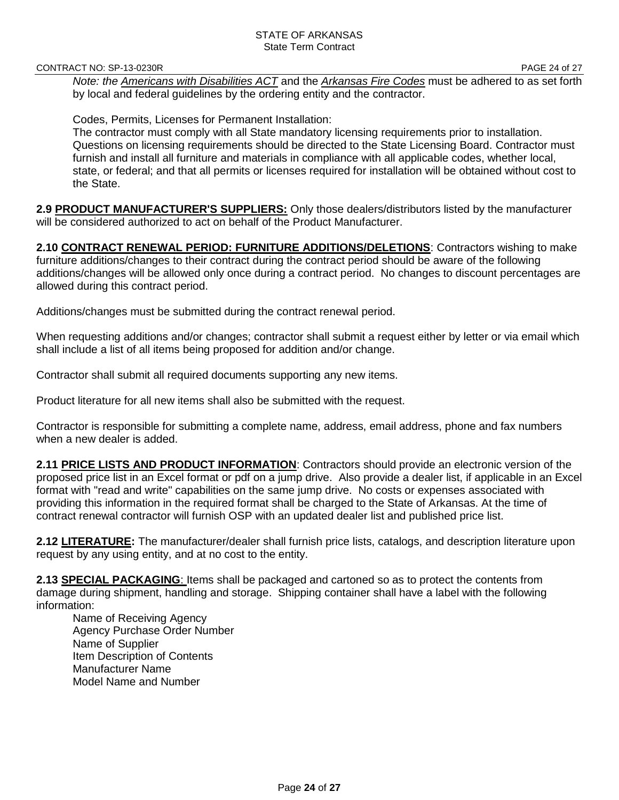CONTRACT NO: SP-13-0230R **PAGE 24 of 27** 

*Note: the Americans with Disabilities ACT* and the *Arkansas Fire Codes* must be adhered to as set forth by local and federal guidelines by the ordering entity and the contractor.

Codes, Permits, Licenses for Permanent Installation:

The contractor must comply with all State mandatory licensing requirements prior to installation. Questions on licensing requirements should be directed to the State Licensing Board. Contractor must furnish and install all furniture and materials in compliance with all applicable codes, whether local, state, or federal; and that all permits or licenses required for installation will be obtained without cost to the State.

**2.9 PRODUCT MANUFACTURER'S SUPPLIERS:** Only those dealers/distributors listed by the manufacturer will be considered authorized to act on behalf of the Product Manufacturer.

**2.10 CONTRACT RENEWAL PERIOD: FURNITURE ADDITIONS/DELETIONS**: Contractors wishing to make furniture additions/changes to their contract during the contract period should be aware of the following additions/changes will be allowed only once during a contract period. No changes to discount percentages are allowed during this contract period.

Additions/changes must be submitted during the contract renewal period.

When requesting additions and/or changes; contractor shall submit a request either by letter or via email which shall include a list of all items being proposed for addition and/or change.

Contractor shall submit all required documents supporting any new items.

Product literature for all new items shall also be submitted with the request.

Contractor is responsible for submitting a complete name, address, email address, phone and fax numbers when a new dealer is added.

**2.11 PRICE LISTS AND PRODUCT INFORMATION**: Contractors should provide an electronic version of the proposed price list in an Excel format or pdf on a jump drive. Also provide a dealer list, if applicable in an Excel format with "read and write" capabilities on the same jump drive. No costs or expenses associated with providing this information in the required format shall be charged to the State of Arkansas. At the time of contract renewal contractor will furnish OSP with an updated dealer list and published price list.

**2.12 LITERATURE:** The manufacturer/dealer shall furnish price lists, catalogs, and description literature upon request by any using entity, and at no cost to the entity.

**2.13 SPECIAL PACKAGING**: Items shall be packaged and cartoned so as to protect the contents from damage during shipment, handling and storage. Shipping container shall have a label with the following information:

Name of Receiving Agency Agency Purchase Order Number Name of Supplier Item Description of Contents Manufacturer Name Model Name and Number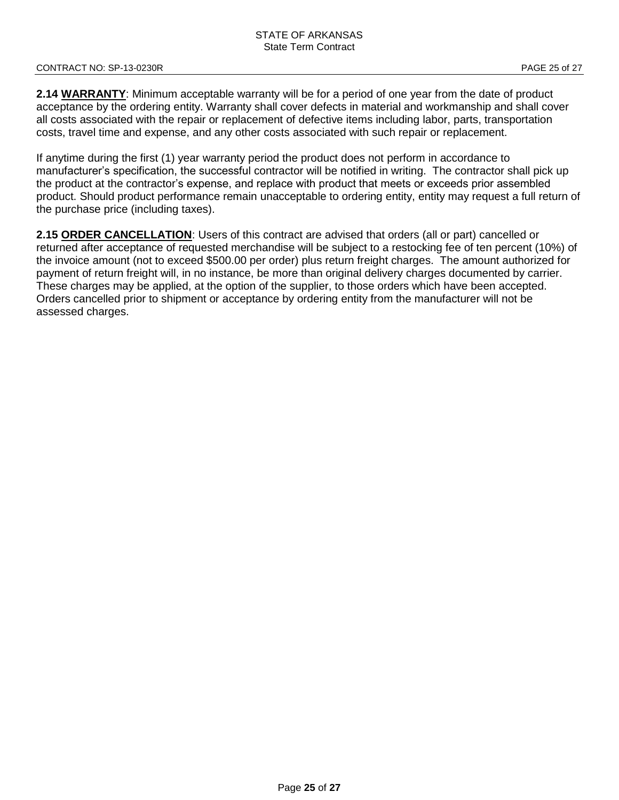#### CONTRACT NO: SP-13-0230R **PAGE 25 of 27**

2.14 WARRANTY: Minimum acceptable warranty will be for a period of one year from the date of product acceptance by the ordering entity. Warranty shall cover defects in material and workmanship and shall cover all costs associated with the repair or replacement of defective items including labor, parts, transportation costs, travel time and expense, and any other costs associated with such repair or replacement.

If anytime during the first (1) year warranty period the product does not perform in accordance to manufacturer's specification, the successful contractor will be notified in writing. The contractor shall pick up the product at the contractor's expense, and replace with product that meets or exceeds prior assembled product. Should product performance remain unacceptable to ordering entity, entity may request a full return of the purchase price (including taxes).

**2.15 ORDER CANCELLATION**: Users of this contract are advised that orders (all or part) cancelled or returned after acceptance of requested merchandise will be subject to a restocking fee of ten percent (10%) of the invoice amount (not to exceed \$500.00 per order) plus return freight charges. The amount authorized for payment of return freight will, in no instance, be more than original delivery charges documented by carrier. These charges may be applied, at the option of the supplier, to those orders which have been accepted. Orders cancelled prior to shipment or acceptance by ordering entity from the manufacturer will not be assessed charges.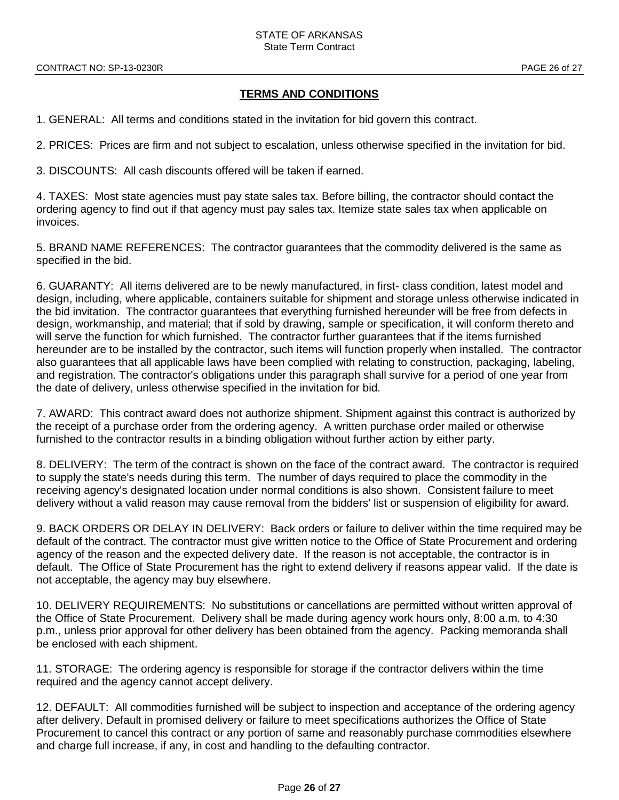## **TERMS AND CONDITIONS**

1. GENERAL: All terms and conditions stated in the invitation for bid govern this contract.

2. PRICES: Prices are firm and not subject to escalation, unless otherwise specified in the invitation for bid.

3. DISCOUNTS: All cash discounts offered will be taken if earned.

4. TAXES: Most state agencies must pay state sales tax. Before billing, the contractor should contact the ordering agency to find out if that agency must pay sales tax. Itemize state sales tax when applicable on invoices.

5. BRAND NAME REFERENCES: The contractor guarantees that the commodity delivered is the same as specified in the bid.

6. GUARANTY: All items delivered are to be newly manufactured, in first- class condition, latest model and design, including, where applicable, containers suitable for shipment and storage unless otherwise indicated in the bid invitation. The contractor guarantees that everything furnished hereunder will be free from defects in design, workmanship, and material; that if sold by drawing, sample or specification, it will conform thereto and will serve the function for which furnished. The contractor further guarantees that if the items furnished hereunder are to be installed by the contractor, such items will function properly when installed. The contractor also guarantees that all applicable laws have been complied with relating to construction, packaging, labeling, and registration. The contractor's obligations under this paragraph shall survive for a period of one year from the date of delivery, unless otherwise specified in the invitation for bid.

7. AWARD: This contract award does not authorize shipment. Shipment against this contract is authorized by the receipt of a purchase order from the ordering agency. A written purchase order mailed or otherwise furnished to the contractor results in a binding obligation without further action by either party.

8. DELIVERY: The term of the contract is shown on the face of the contract award. The contractor is required to supply the state's needs during this term. The number of days required to place the commodity in the receiving agency's designated location under normal conditions is also shown. Consistent failure to meet delivery without a valid reason may cause removal from the bidders' list or suspension of eligibility for award.

9. BACK ORDERS OR DELAY IN DELIVERY: Back orders or failure to deliver within the time required may be default of the contract. The contractor must give written notice to the Office of State Procurement and ordering agency of the reason and the expected delivery date. If the reason is not acceptable, the contractor is in default. The Office of State Procurement has the right to extend delivery if reasons appear valid. If the date is not acceptable, the agency may buy elsewhere.

10. DELIVERY REQUIREMENTS: No substitutions or cancellations are permitted without written approval of the Office of State Procurement. Delivery shall be made during agency work hours only, 8:00 a.m. to 4:30 p.m., unless prior approval for other delivery has been obtained from the agency. Packing memoranda shall be enclosed with each shipment.

11. STORAGE: The ordering agency is responsible for storage if the contractor delivers within the time required and the agency cannot accept delivery.

12. DEFAULT: All commodities furnished will be subject to inspection and acceptance of the ordering agency after delivery. Default in promised delivery or failure to meet specifications authorizes the Office of State Procurement to cancel this contract or any portion of same and reasonably purchase commodities elsewhere and charge full increase, if any, in cost and handling to the defaulting contractor.